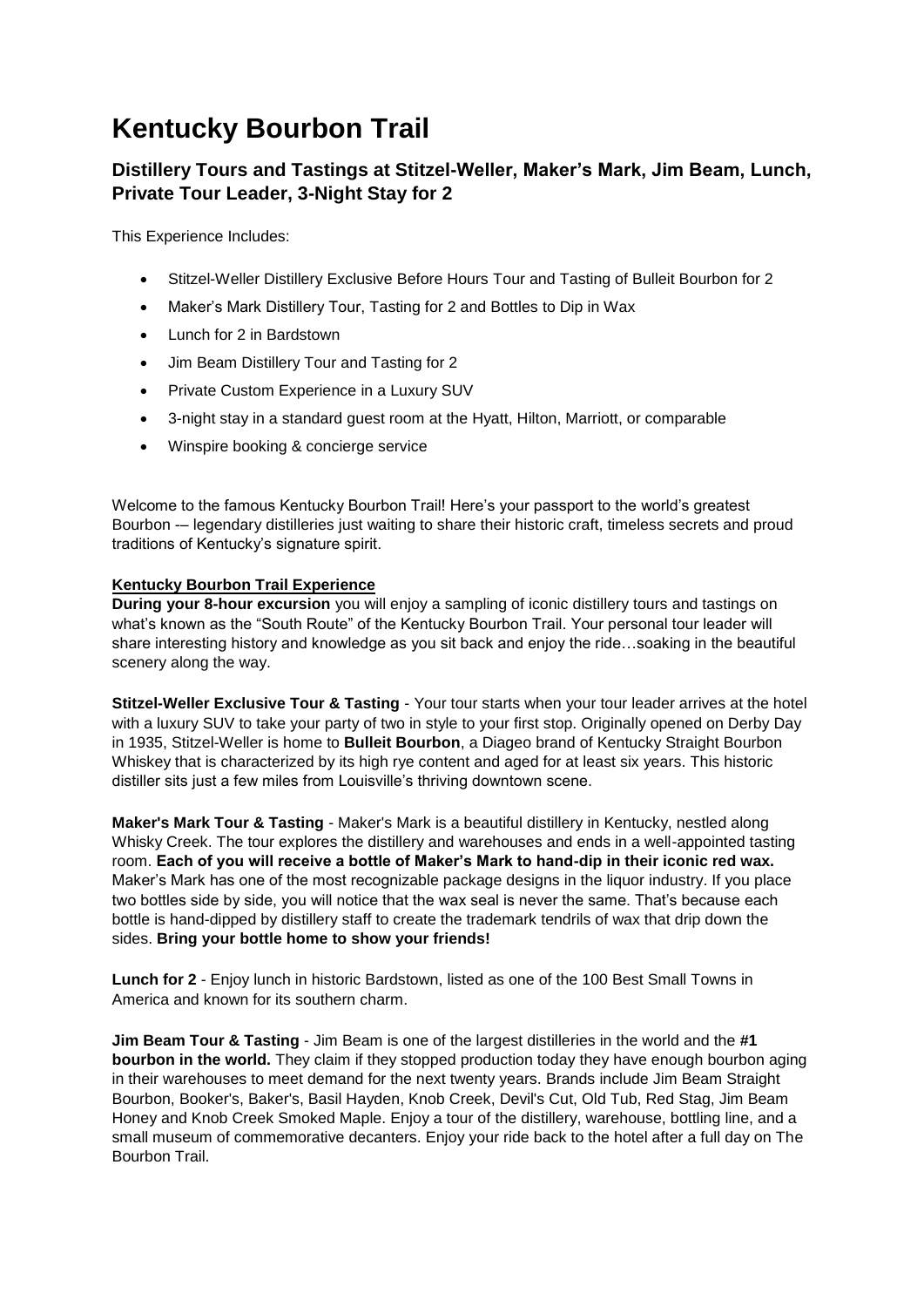# **Kentucky Bourbon Trail**

# **Distillery Tours and Tastings at Stitzel-Weller, Maker's Mark, Jim Beam, Lunch, Private Tour Leader, 3-Night Stay for 2**

This Experience Includes:

- Stitzel-Weller Distillery Exclusive Before Hours Tour and Tasting of Bulleit Bourbon for 2
- Maker's Mark Distillery Tour, Tasting for 2 and Bottles to Dip in Wax
- Lunch for 2 in Bardstown
- Jim Beam Distillery Tour and Tasting for 2
- Private Custom Experience in a Luxury SUV
- 3-night stay in a standard guest room at the Hyatt, Hilton, Marriott, or comparable
- Winspire booking & concierge service

Welcome to the famous Kentucky Bourbon Trail! Here's your passport to the world's greatest Bourbon -– legendary distilleries just waiting to share their historic craft, timeless secrets and proud traditions of Kentucky's signature spirit.

# **Kentucky Bourbon Trail Experience**

**During your 8-hour excursion** you will enjoy a sampling of iconic distillery tours and tastings on what's known as the "South Route" of the Kentucky Bourbon Trail. Your personal tour leader will share interesting history and knowledge as you sit back and enjoy the ride…soaking in the beautiful scenery along the way.

**Stitzel-Weller Exclusive Tour & Tasting** - Your tour starts when your tour leader arrives at the hotel with a luxury SUV to take your party of two in style to your first stop. Originally opened on Derby Day in 1935, Stitzel-Weller is home to **Bulleit Bourbon**, a Diageo brand of Kentucky Straight Bourbon Whiskey that is characterized by its high rye content and aged for at least six years. This historic distiller sits just a few miles from Louisville's thriving downtown scene.

**Maker's Mark Tour & Tasting** - Maker's Mark is a beautiful distillery in Kentucky, nestled along Whisky Creek. The tour explores the distillery and warehouses and ends in a well-appointed tasting room. **Each of you will receive a bottle of Maker's Mark to hand-dip in their iconic red wax.** Maker's Mark has one of the most recognizable package designs in the liquor industry. If you place two bottles side by side, you will notice that the wax seal is never the same. That's because each bottle is hand-dipped by distillery staff to create the trademark tendrils of wax that drip down the sides. **Bring your bottle home to show your friends!**

**Lunch for 2** - Enjoy lunch in historic Bardstown, listed as one of the 100 Best Small Towns in America and known for its southern charm.

**Jim Beam Tour & Tasting** - Jim Beam is one of the largest distilleries in the world and the **#1 bourbon in the world.** They claim if they stopped production today they have enough bourbon aging in their warehouses to meet demand for the next twenty years. Brands include Jim Beam Straight Bourbon, Booker's, Baker's, Basil Hayden, Knob Creek, Devil's Cut, Old Tub, Red Stag, Jim Beam Honey and Knob Creek Smoked Maple. Enjoy a tour of the distillery, warehouse, bottling line, and a small museum of commemorative decanters. Enjoy your ride back to the hotel after a full day on The Bourbon Trail.